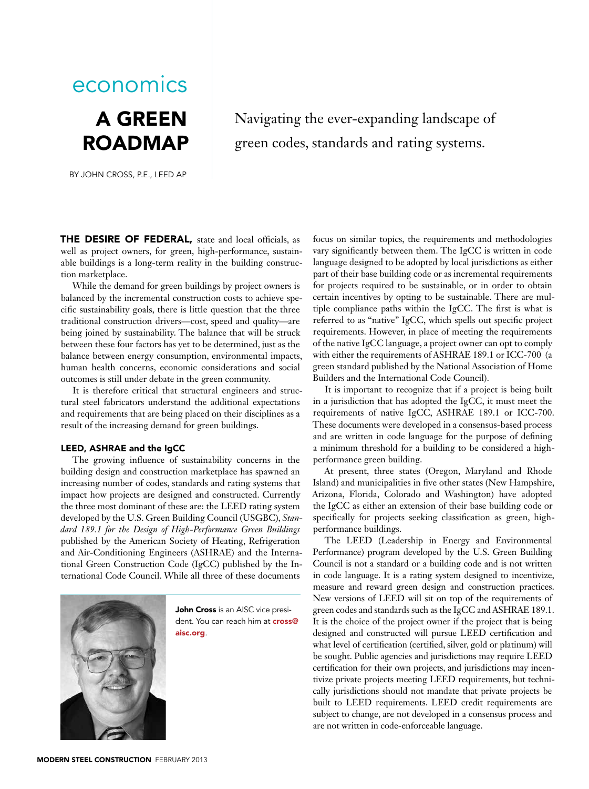# A Green **ROADMAP** economics

By john cross, P.E., LEED AP

### Navigating the ever-expanding landscape of green codes, standards and rating systems.

THE DESIRE OF FEDERAL, state and local officials, as well as project owners, for green, high-performance, sustainable buildings is a long-term reality in the building construction marketplace.

While the demand for green buildings by project owners is balanced by the incremental construction costs to achieve specific sustainability goals, there is little question that the three traditional construction drivers—cost, speed and quality—are being joined by sustainability. The balance that will be struck between these four factors has yet to be determined, just as the balance between energy consumption, environmental impacts, human health concerns, economic considerations and social outcomes is still under debate in the green community.

It is therefore critical that structural engineers and structural steel fabricators understand the additional expectations and requirements that are being placed on their disciplines as a result of the increasing demand for green buildings.

#### LEED, ASHRAE and the IgCC

The growing influence of sustainability concerns in the building design and construction marketplace has spawned an increasing number of codes, standards and rating systems that impact how projects are designed and constructed. Currently the three most dominant of these are: the LEED rating system developed by the U.S. Green Building Council (USGBC), *Standard 189.1 for the Design of High-Performance Green Buildings*  published by the American Society of Heating, Refrigeration and Air-Conditioning Engineers (ASHRAE) and the International Green Construction Code (IgCC) published by the International Code Council. While all three of these documents



John Cross is an AISC vice president. You can reach him at **cross@** aisc.org.

focus on similar topics, the requirements and methodologies vary significantly between them. The IgCC is written in code language designed to be adopted by local jurisdictions as either part of their base building code or as incremental requirements for projects required to be sustainable, or in order to obtain certain incentives by opting to be sustainable. There are multiple compliance paths within the IgCC. The first is what is referred to as "native" IgCC, which spells out specific project requirements. However, in place of meeting the requirements of the native IgCC language, a project owner can opt to comply with either the requirements of ASHRAE 189.1 or ICC-700 (a green standard published by the National Association of Home Builders and the International Code Council).

It is important to recognize that if a project is being built in a jurisdiction that has adopted the IgCC, it must meet the requirements of native IgCC, ASHRAE 189.1 or ICC-700. These documents were developed in a consensus-based process and are written in code language for the purpose of defining a minimum threshold for a building to be considered a highperformance green building.

At present, three states (Oregon, Maryland and Rhode Island) and municipalities in five other states (New Hampshire, Arizona, Florida, Colorado and Washington) have adopted the IgCC as either an extension of their base building code or specifically for projects seeking classification as green, highperformance buildings.

The LEED (Leadership in Energy and Environmental Performance) program developed by the U.S. Green Building Council is not a standard or a building code and is not written in code language. It is a rating system designed to incentivize, measure and reward green design and construction practices. New versions of LEED will sit on top of the requirements of green codes and standards such as the IgCC and ASHRAE 189.1. It is the choice of the project owner if the project that is being designed and constructed will pursue LEED certification and what level of certification (certified, silver, gold or platinum) will be sought. Public agencies and jurisdictions may require LEED certification for their own projects, and jurisdictions may incentivize private projects meeting LEED requirements, but technically jurisdictions should not mandate that private projects be built to LEED requirements. LEED credit requirements are subject to change, are not developed in a consensus process and are not written in code-enforceable language.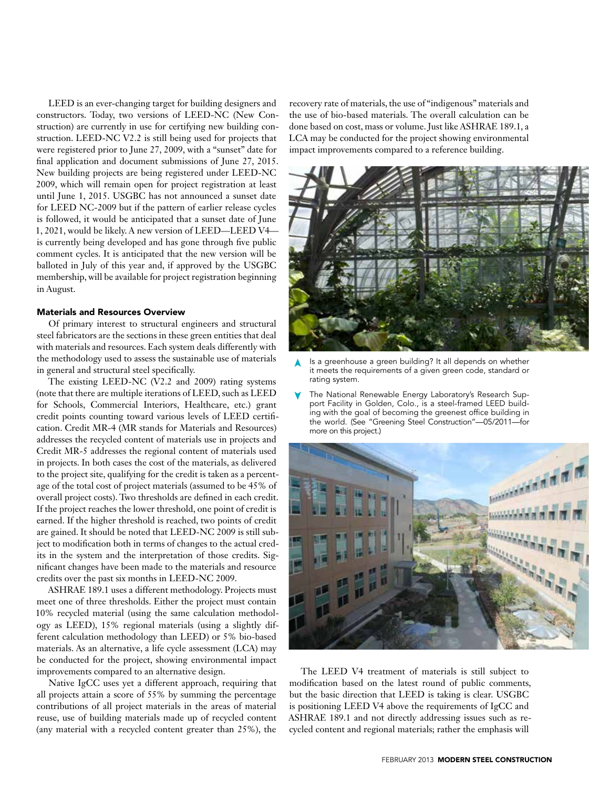LEED is an ever-changing target for building designers and constructors. Today, two versions of LEED-NC (New Construction) are currently in use for certifying new building construction. LEED-NC V2.2 is still being used for projects that were registered prior to June 27, 2009, with a "sunset" date for final application and document submissions of June 27, 2015. New building projects are being registered under LEED-NC 2009, which will remain open for project registration at least until June 1, 2015. USGBC has not announced a sunset date for LEED NC-2009 but if the pattern of earlier release cycles is followed, it would be anticipated that a sunset date of June 1, 2021, would be likely. A new version of LEED—LEED V4 is currently being developed and has gone through five public comment cycles. It is anticipated that the new version will be balloted in July of this year and, if approved by the USGBC membership, will be available for project registration beginning in August.

#### Materials and Resources Overview

Of primary interest to structural engineers and structural steel fabricators are the sections in these green entities that deal with materials and resources. Each system deals differently with the methodology used to assess the sustainable use of materials in general and structural steel specifically.

The existing LEED-NC (V2.2 and 2009) rating systems (note that there are multiple iterations of LEED, such as LEED for Schools, Commercial Interiors, Healthcare, etc.) grant credit points counting toward various levels of LEED certification. Credit MR-4 (MR stands for Materials and Resources) addresses the recycled content of materials use in projects and Credit MR-5 addresses the regional content of materials used in projects. In both cases the cost of the materials, as delivered to the project site, qualifying for the credit is taken as a percentage of the total cost of project materials (assumed to be 45% of overall project costs). Two thresholds are defined in each credit. If the project reaches the lower threshold, one point of credit is earned. If the higher threshold is reached, two points of credit are gained. It should be noted that LEED-NC 2009 is still subject to modification both in terms of changes to the actual credits in the system and the interpretation of those credits. Significant changes have been made to the materials and resource credits over the past six months in LEED-NC 2009.

ASHRAE 189.1 uses a different methodology. Projects must meet one of three thresholds. Either the project must contain 10% recycled material (using the same calculation methodology as LEED), 15% regional materials (using a slightly different calculation methodology than LEED) or 5% bio-based materials. As an alternative, a life cycle assessment (LCA) may be conducted for the project, showing environmental impact improvements compared to an alternative design.

Native IgCC uses yet a different approach, requiring that all projects attain a score of 55% by summing the percentage contributions of all project materials in the areas of material reuse, use of building materials made up of recycled content (any material with a recycled content greater than 25%), the

recovery rate of materials, the use of "indigenous" materials and the use of bio-based materials. The overall calculation can be done based on cost, mass or volume. Just like ASHRAE 189.1, a LCA may be conducted for the project showing environmental impact improvements compared to a reference building.



- Is a greenhouse a green building? It all depends on whether it meets the requirements of a given green code, standard or rating system. ➤
- The National Renewable Energy Laboratory's Research Support Facility in Golden, Colo., is a steel-framed LEED building with the goal of becoming the greenest office building in the world. (See "Greening Steel Construction"—05/2011—for more on this project.) ➤



The LEED V4 treatment of materials is still subject to modification based on the latest round of public comments, but the basic direction that LEED is taking is clear. USGBC is positioning LEED V4 above the requirements of IgCC and ASHRAE 189.1 and not directly addressing issues such as recycled content and regional materials; rather the emphasis will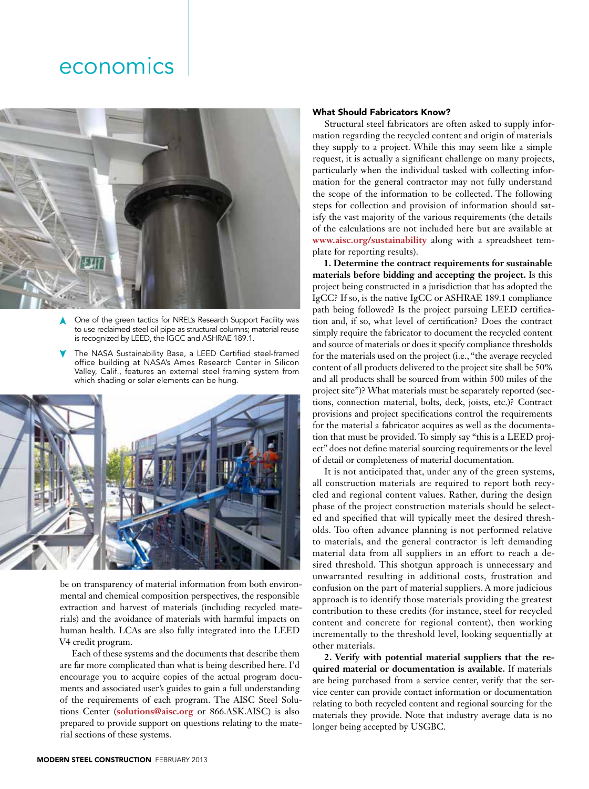

One of the green tactics for NREL's Research Support Facility was to use reclaimed steel oil pipe as structural columns; material reuse is recognized by LEED, the IGCC and ASHRAE 189.1. ➤

The NASA Sustainability Base, a LEED Certified steel-framed office building at NASA's Ames Research Center in Silicon Valley, Calif., features an external steel framing system from which shading or solar elements can be hung. ➤



be on transparency of material information from both environmental and chemical composition perspectives, the responsible extraction and harvest of materials (including recycled materials) and the avoidance of materials with harmful impacts on human health. LCAs are also fully integrated into the LEED V4 credit program.

Each of these systems and the documents that describe them are far more complicated than what is being described here. I'd encourage you to acquire copies of the actual program documents and associated user's guides to gain a full understanding of the requirements of each program. The AISC Steel Solutions Center (**solutions@aisc.org** or 866.ASK.AISC) is also prepared to provide support on questions relating to the material sections of these systems.

#### What Should Fabricators Know?

Structural steel fabricators are often asked to supply information regarding the recycled content and origin of materials they supply to a project. While this may seem like a simple request, it is actually a significant challenge on many projects, particularly when the individual tasked with collecting information for the general contractor may not fully understand the scope of the information to be collected. The following steps for collection and provision of information should satisfy the vast majority of the various requirements (the details of the calculations are not included here but are available at **www.aisc.org/sustainability** along with a spreadsheet template for reporting results).

**1. Determine the contract requirements for sustainable materials before bidding and accepting the project.** Is this project being constructed in a jurisdiction that has adopted the IgCC? If so, is the native IgCC or ASHRAE 189.1 compliance path being followed? Is the project pursuing LEED certification and, if so, what level of certification? Does the contract simply require the fabricator to document the recycled content and source of materials or does it specify compliance thresholds for the materials used on the project (i.e., "the average recycled content of all products delivered to the project site shall be 50% and all products shall be sourced from within 500 miles of the project site")? What materials must be separately reported (sections, connection material, bolts, deck, joists, etc.)? Contract provisions and project specifications control the requirements for the material a fabricator acquires as well as the documentation that must be provided. To simply say "this is a LEED project" does not define material sourcing requirements or the level of detail or completeness of material documentation.

It is not anticipated that, under any of the green systems, all construction materials are required to report both recycled and regional content values. Rather, during the design phase of the project construction materials should be selected and specified that will typically meet the desired thresholds. Too often advance planning is not performed relative to materials, and the general contractor is left demanding material data from all suppliers in an effort to reach a desired threshold. This shotgun approach is unnecessary and unwarranted resulting in additional costs, frustration and confusion on the part of material suppliers. A more judicious approach is to identify those materials providing the greatest contribution to these credits (for instance, steel for recycled content and concrete for regional content), then working incrementally to the threshold level, looking sequentially at other materials.

**2. Verify with potential material suppliers that the required material or documentation is available.** If materials are being purchased from a service center, verify that the service center can provide contact information or documentation relating to both recycled content and regional sourcing for the materials they provide. Note that industry average data is no longer being accepted by USGBC.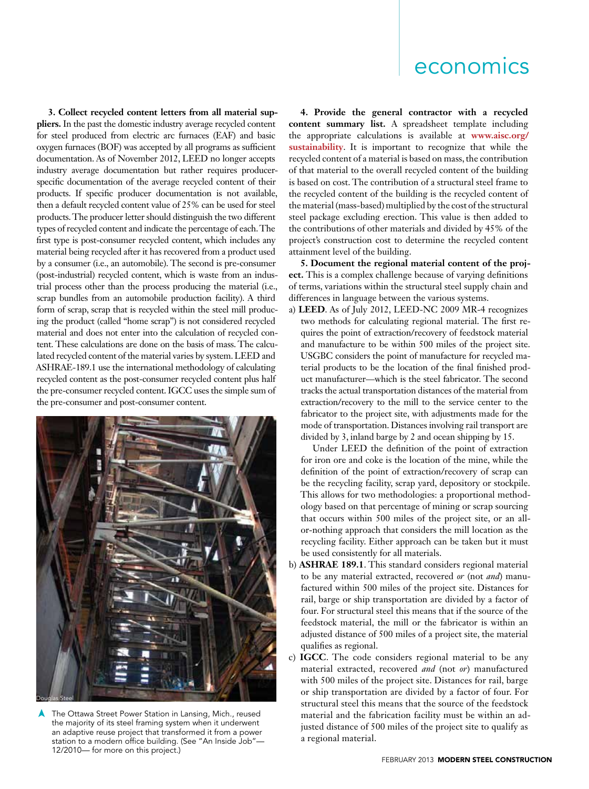**3. Collect recycled content letters from all material suppliers.** In the past the domestic industry average recycled content for steel produced from electric arc furnaces (EAF) and basic oxygen furnaces (BOF) was accepted by all programs as sufficient documentation. As of November 2012, LEED no longer accepts industry average documentation but rather requires producerspecific documentation of the average recycled content of their products. If specific producer documentation is not available, then a default recycled content value of 25% can be used for steel products. The producer letter should distinguish the two different types of recycled content and indicate the percentage of each. The first type is post-consumer recycled content, which includes any material being recycled after it has recovered from a product used by a consumer (i.e., an automobile). The second is pre-consumer (post-industrial) recycled content, which is waste from an industrial process other than the process producing the material (i.e., scrap bundles from an automobile production facility). A third form of scrap, scrap that is recycled within the steel mill producing the product (called "home scrap") is not considered recycled material and does not enter into the calculation of recycled content. These calculations are done on the basis of mass. The calculated recycled content of the material varies by system. LEED and ASHRAE-189.1 use the international methodology of calculating recycled content as the post-consumer recycled content plus half the pre-consumer recycled content. IGCC uses the simple sum of the pre-consumer and post-consumer content.



The Ottawa Street Power Station in Lansing, Mich., reused the majority of its steel framing system when it underwent an adaptive reuse project that transformed it from a power station to a modern office building. (See "An Inside Job"-12/2010— for more on this project.) ➤

**4. Provide the general contractor with a recycled content summary list.** A spreadsheet template including the appropriate calculations is available at **www.aisc.org/ sustainability**. It is important to recognize that while the recycled content of a material is based on mass, the contribution of that material to the overall recycled content of the building is based on cost. The contribution of a structural steel frame to the recycled content of the building is the recycled content of the material (mass-based) multiplied by the cost of the structural steel package excluding erection. This value is then added to the contributions of other materials and divided by 45% of the project's construction cost to determine the recycled content attainment level of the building.

**5. Document the regional material content of the project.** This is a complex challenge because of varying definitions of terms, variations within the structural steel supply chain and differences in language between the various systems.

a) **LEED**. As of July 2012, LEED-NC 2009 MR-4 recognizes two methods for calculating regional material. The first requires the point of extraction/recovery of feedstock material and manufacture to be within 500 miles of the project site. USGBC considers the point of manufacture for recycled material products to be the location of the final finished product manufacturer—which is the steel fabricator. The second tracks the actual transportation distances of the material from extraction/recovery to the mill to the service center to the fabricator to the project site, with adjustments made for the mode of transportation. Distances involving rail transport are divided by 3, inland barge by 2 and ocean shipping by 15.

Under LEED the definition of the point of extraction for iron ore and coke is the location of the mine, while the definition of the point of extraction/recovery of scrap can be the recycling facility, scrap yard, depository or stockpile. This allows for two methodologies: a proportional methodology based on that percentage of mining or scrap sourcing that occurs within 500 miles of the project site, or an allor-nothing approach that considers the mill location as the recycling facility. Either approach can be taken but it must be used consistently for all materials.

- b) **ASHRAE 189.1**. This standard considers regional material to be any material extracted, recovered *or* (not *and*) manufactured within 500 miles of the project site. Distances for rail, barge or ship transportation are divided by a factor of four. For structural steel this means that if the source of the feedstock material, the mill or the fabricator is within an adjusted distance of 500 miles of a project site, the material qualifies as regional.
- c) **IGCC**. The code considers regional material to be any material extracted, recovered *and* (not *or*) manufactured with 500 miles of the project site. Distances for rail, barge or ship transportation are divided by a factor of four. For structural steel this means that the source of the feedstock material and the fabrication facility must be within an adjusted distance of 500 miles of the project site to qualify as a regional material.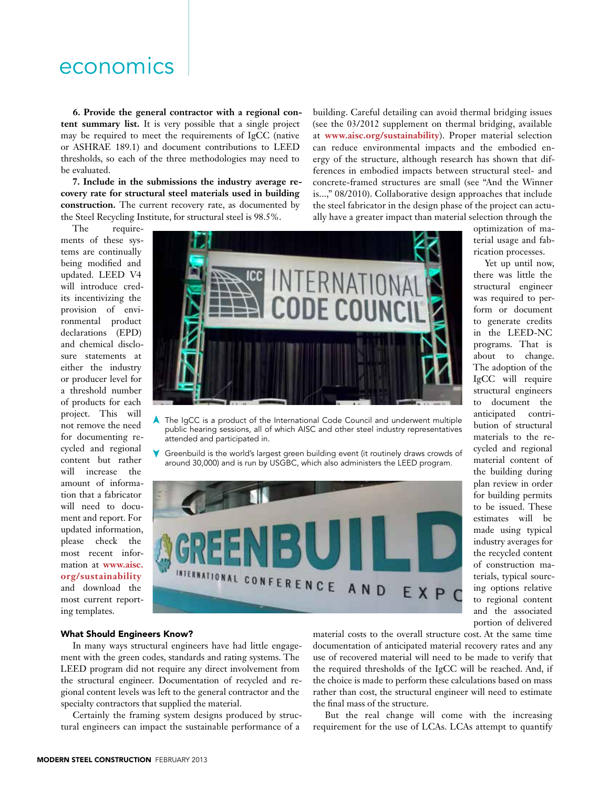**6. Provide the general contractor with a regional content summary list.** It is very possible that a single project may be required to meet the requirements of IgCC (native or ASHRAE 189.1) and document contributions to LEED thresholds, so each of the three methodologies may need to be evaluated.

**7. Include in the submissions the industry average recovery rate for structural steel materials used in building construction.** The current recovery rate, as documented by the Steel Recycling Institute, for structural steel is 98.5%.

The requirements of these systems are continually being modified and updated. LEED V4 will introduce credits incentivizing the provision of environmental product declarations (EPD) and chemical disclosure statements at either the industry or producer level for a threshold number of products for each project. This will not remove the need for documenting recycled and regional content but rather will increase the amount of information that a fabricator will need to document and report. For updated information, please check the most recent information at **www.aisc. org/sustainability**  and download the most current reporting templates.



The IgCC is a product of the International Code Council and underwent multiple public hearing sessions, all of which AISC and other steel industry representatives attended and participated in. ➤

Greenbuild is the world's largest green building event (it routinely draws crowds of around 30,000) and is run by USGBC, which also administers the LEED program. ➤



rication processes. Yet up until now, there was little the structural engineer was required to perform or document to generate credits in the LEED-NC programs. That is

optimization of material usage and fab-

about to change. The adoption of the IgCC will require structural engineers to document the anticipated contribution of structural materials to the recycled and regional material content of the building during plan review in order for building permits to be issued. These estimates will be made using typical industry averages for the recycled content of construction materials, typical sourcing options relative to regional content and the associated portion of delivered

#### What Should Engineers Know?

In many ways structural engineers have had little engagement with the green codes, standards and rating systems. The LEED program did not require any direct involvement from the structural engineer. Documentation of recycled and regional content levels was left to the general contractor and the specialty contractors that supplied the material.

Certainly the framing system designs produced by structural engineers can impact the sustainable performance of a

material costs to the overall structure cost. At the same time documentation of anticipated material recovery rates and any use of recovered material will need to be made to verify that the required thresholds of the IgCC will be reached. And, if the choice is made to perform these calculations based on mass rather than cost, the structural engineer will need to estimate the final mass of the structure.

building. Careful detailing can avoid thermal bridging issues (see the 03/2012 supplement on thermal bridging, available at **www.aisc.org/sustainability**). Proper material selection can reduce environmental impacts and the embodied energy of the structure, although research has shown that differences in embodied impacts between structural steel- and concrete-framed structures are small (see "And the Winner is...," 08/2010). Collaborative design approaches that include the steel fabricator in the design phase of the project can actu-

But the real change will come with the increasing requirement for the use of LCAs. LCAs attempt to quantify